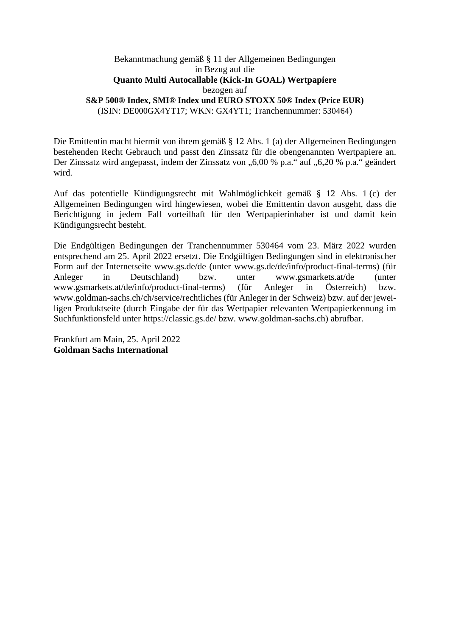## Bekanntmachung gemäß § 11 der Allgemeinen Bedingungen in Bezug auf die **Quanto Multi Autocallable (Kick-In GOAL) Wertpapiere**  bezogen auf **S&P 500® Index, SMI® Index und EURO STOXX 50® Index (Price EUR)** (ISIN: DE000GX4YT17; WKN: GX4YT1; Tranchennummer: 530464)

Die Emittentin macht hiermit von ihrem gemäß § 12 Abs. 1 (a) der Allgemeinen Bedingungen bestehenden Recht Gebrauch und passt den Zinssatz für die obengenannten Wertpapiere an. Der Zinssatz wird angepasst, indem der Zinssatz von "6,00 % p.a." auf "6,20 % p.a." geändert wird.

Auf das potentielle Kündigungsrecht mit Wahlmöglichkeit gemäß § 12 Abs. 1 (c) der Allgemeinen Bedingungen wird hingewiesen, wobei die Emittentin davon ausgeht, dass die Berichtigung in jedem Fall vorteilhaft für den Wertpapierinhaber ist und damit kein Kündigungsrecht besteht.

Die Endgültigen Bedingungen der Tranchennummer 530464 vom 23. März 2022 wurden entsprechend am 25. April 2022 ersetzt. Die Endgültigen Bedingungen sind in elektronischer Form auf der Internetseite www.gs.de/de (unter www.gs.de/de/info/product-final-terms) (für Anleger in Deutschland) bzw. unter www.gsmarkets.at/de (unter www.gsmarkets.at/de/info/product-final-terms) (für Anleger in Österreich) bzw. www.goldman-sachs.ch/ch/service/rechtliches (für Anleger in der Schweiz) bzw. auf der jeweiligen Produktseite (durch Eingabe der für das Wertpapier relevanten Wertpapierkennung im Suchfunktionsfeld unter https://classic.gs.de/ bzw. www.goldman-sachs.ch) abrufbar.

Frankfurt am Main, 25. April 2022 **Goldman Sachs International**